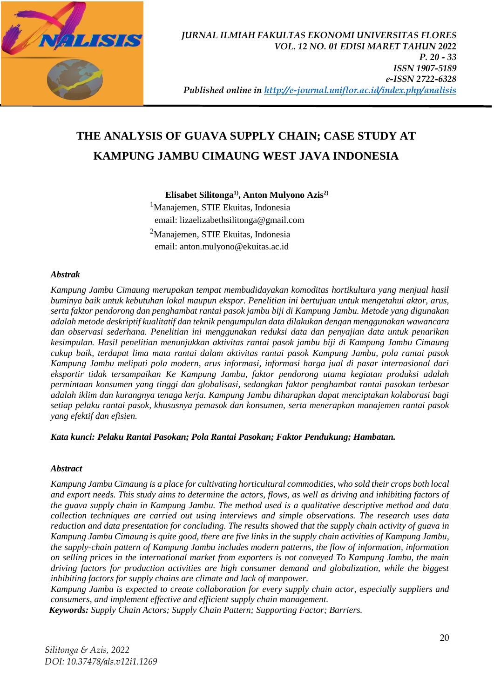

# **THE ANALYSIS OF GUAVA SUPPLY CHAIN; CASE STUDY AT KAMPUNG JAMBU CIMAUNG WEST JAVA INDONESIA**

**Elisabet Silitonga1) , Anton Mulyono Azis2)**

<sup>1</sup>Manajemen, STIE Ekuitas, Indonesia email: lizaelizabethsilitonga@gmail.com <sup>2</sup>Manajemen, STIE Ekuitas, Indonesia email: anton.mulyono@ekuitas.ac.id

#### *Abstrak*

*Kampung Jambu Cimaung merupakan tempat membudidayakan komoditas hortikultura yang menjual hasil buminya baik untuk kebutuhan lokal maupun ekspor. Penelitian ini bertujuan untuk mengetahui aktor, arus, serta faktor pendorong dan penghambat rantai pasok jambu biji di Kampung Jambu. Metode yang digunakan adalah metode deskriptif kualitatif dan teknik pengumpulan data dilakukan dengan menggunakan wawancara dan observasi sederhana. Penelitian ini menggunakan reduksi data dan penyajian data untuk penarikan kesimpulan. Hasil penelitian menunjukkan aktivitas rantai pasok jambu biji di Kampung Jambu Cimaung cukup baik, terdapat lima mata rantai dalam aktivitas rantai pasok Kampung Jambu, pola rantai pasok Kampung Jambu meliputi pola modern, arus informasi, informasi harga jual di pasar internasional dari eksportir tidak tersampaikan Ke Kampung Jambu, faktor pendorong utama kegiatan produksi adalah permintaan konsumen yang tinggi dan globalisasi, sedangkan faktor penghambat rantai pasokan terbesar adalah iklim dan kurangnya tenaga kerja. Kampung Jambu diharapkan dapat menciptakan kolaborasi bagi setiap pelaku rantai pasok, khususnya pemasok dan konsumen, serta menerapkan manajemen rantai pasok yang efektif dan efisien.*

*Kata kunci: Pelaku Rantai Pasokan; Pola Rantai Pasokan; Faktor Pendukung; Hambatan.*

### *Abstract*

*Kampung Jambu Cimaung is a place for cultivating horticultural commodities, who sold their crops both local and export needs. This study aims to determine the actors, flows, as well as driving and inhibiting factors of the guava supply chain in Kampung Jambu. The method used is a qualitative descriptive method and data collection techniques are carried out using interviews and simple observations. The research uses data reduction and data presentation for concluding. The results showed that the supply chain activity of guava in Kampung Jambu Cimaung is quite good, there are five links in the supply chain activities of Kampung Jambu, the supply-chain pattern of Kampung Jambu includes modern patterns, the flow of information, information on selling prices in the international market from exporters is not conveyed To Kampung Jambu, the main driving factors for production activities are high consumer demand and globalization, while the biggest inhibiting factors for supply chains are climate and lack of manpower.* 

*Kampung Jambu is expected to create collaboration for every supply chain actor, especially suppliers and consumers, and implement effective and efficient supply chain management.*

*Keywords: Supply Chain Actors; Supply Chain Pattern; Supporting Factor; Barriers.*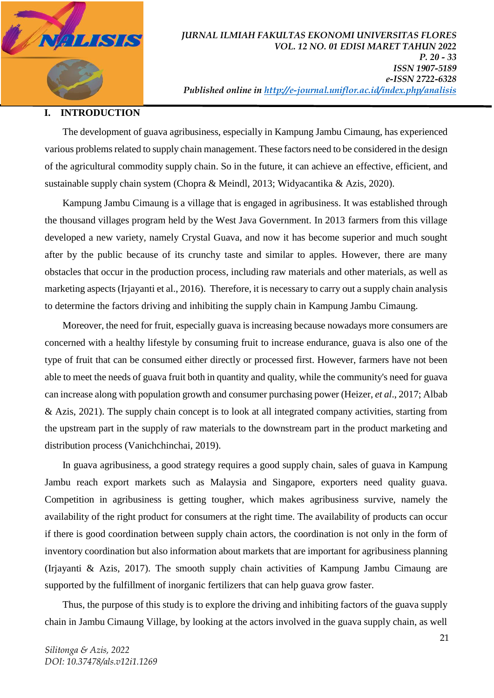

### **I. INTRODUCTION**

The development of guava agribusiness, especially in Kampung Jambu Cimaung, has experienced various problems related to supply chain management. These factors need to be considered in the design of the agricultural commodity supply chain. So in the future, it can achieve an effective, efficient, and sustainable supply chain system (Chopra & Meindl, 2013; Widyacantika & Azis, 2020).

Kampung Jambu Cimaung is a village that is engaged in agribusiness. It was established through the thousand villages program held by the West Java Government. In 2013 farmers from this village developed a new variety, namely Crystal Guava, and now it has become superior and much sought after by the public because of its crunchy taste and similar to apples. However, there are many obstacles that occur in the production process, including raw materials and other materials, as well as marketing aspects (Irjayanti et al., 2016). Therefore, it is necessary to carry out a supply chain analysis to determine the factors driving and inhibiting the supply chain in Kampung Jambu Cimaung.

Moreover, the need for fruit, especially guava is increasing because nowadays more consumers are concerned with a healthy lifestyle by consuming fruit to increase endurance, guava is also one of the type of fruit that can be consumed either directly or processed first. However, farmers have not been able to meet the needs of guava fruit both in quantity and quality, while the community's need for guava can increase along with population growth and consumer purchasing power (Heizer, *et al*., 2017; Albab & Azis, 2021). The supply chain concept is to look at all integrated company activities, starting from the upstream part in the supply of raw materials to the downstream part in the product marketing and distribution process (Vanichchinchai, 2019).

In guava agribusiness, a good strategy requires a good supply chain, sales of guava in Kampung Jambu reach export markets such as Malaysia and Singapore, exporters need quality guava. Competition in agribusiness is getting tougher, which makes agribusiness survive, namely the availability of the right product for consumers at the right time. The availability of products can occur if there is good coordination between supply chain actors, the coordination is not only in the form of inventory coordination but also information about markets that are important for agribusiness planning (Irjayanti & Azis, 2017). The smooth supply chain activities of Kampung Jambu Cimaung are supported by the fulfillment of inorganic fertilizers that can help guava grow faster.

Thus, the purpose of this study is to explore the driving and inhibiting factors of the guava supply chain in Jambu Cimaung Village, by looking at the actors involved in the guava supply chain, as well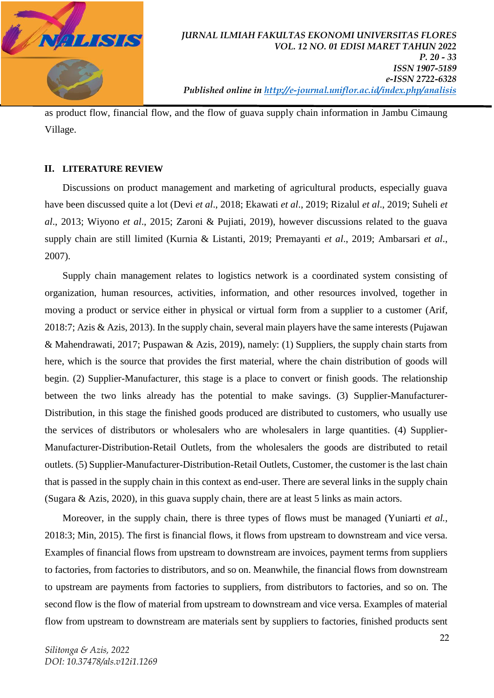

 *Published online in<http://e-journal.uniflor.ac.id/index.php/analisis>*

as product flow, financial flow, and the flow of guava supply chain information in Jambu Cimaung Village.

#### **II. LITERATURE REVIEW**

Discussions on product management and marketing of agricultural products, especially guava have been discussed quite a lot (Devi *et al*., 2018; Ekawati *et al*., 2019; Rizalul *et al*., 2019; Suheli *et al*., 2013; Wiyono *et al*., 2015; Zaroni & Pujiati, 2019), however discussions related to the guava supply chain are still limited (Kurnia & Listanti, 2019; Premayanti *et al*., 2019; Ambarsari *et al*., 2007).

Supply chain management relates to logistics network is a coordinated system consisting of organization, human resources, activities, information, and other resources involved, together in moving a product or service either in physical or virtual form from a supplier to a customer (Arif, 2018:7; Azis & Azis, 2013). In the supply chain, several main players have the same interests (Pujawan & Mahendrawati, 2017; Puspawan & Azis, 2019), namely: (1) Suppliers, the supply chain starts from here, which is the source that provides the first material, where the chain distribution of goods will begin. (2) Supplier-Manufacturer, this stage is a place to convert or finish goods. The relationship between the two links already has the potential to make savings. (3) Supplier-Manufacturer-Distribution, in this stage the finished goods produced are distributed to customers, who usually use the services of distributors or wholesalers who are wholesalers in large quantities. (4) Supplier-Manufacturer-Distribution-Retail Outlets, from the wholesalers the goods are distributed to retail outlets. (5) Supplier-Manufacturer-Distribution-Retail Outlets, Customer, the customer is the last chain that is passed in the supply chain in this context as end-user. There are several links in the supply chain (Sugara & Azis, 2020), in this guava supply chain, there are at least 5 links as main actors.

Moreover, in the supply chain, there is three types of flows must be managed (Yuniarti *et al.*, 2018:3; Min, 2015). The first is financial flows, it flows from upstream to downstream and vice versa. Examples of financial flows from upstream to downstream are invoices, payment terms from suppliers to factories, from factories to distributors, and so on. Meanwhile, the financial flows from downstream to upstream are payments from factories to suppliers, from distributors to factories, and so on. The second flow is the flow of material from upstream to downstream and vice versa. Examples of material flow from upstream to downstream are materials sent by suppliers to factories, finished products sent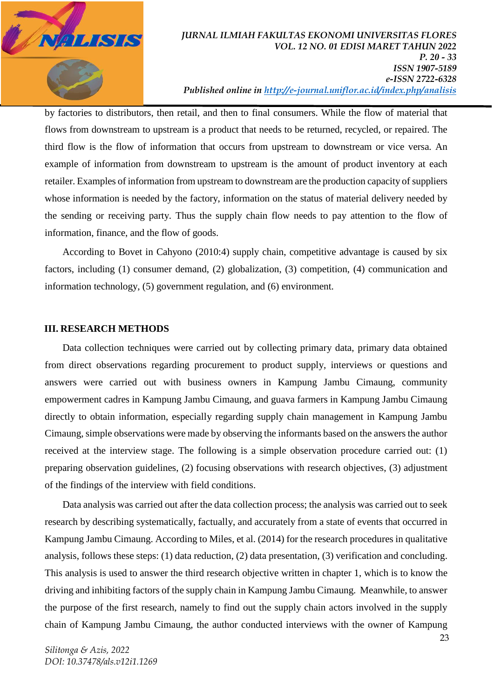

by factories to distributors, then retail, and then to final consumers. While the flow of material that flows from downstream to upstream is a product that needs to be returned, recycled, or repaired. The third flow is the flow of information that occurs from upstream to downstream or vice versa. An example of information from downstream to upstream is the amount of product inventory at each retailer. Examples of information from upstream to downstream are the production capacity of suppliers whose information is needed by the factory, information on the status of material delivery needed by the sending or receiving party. Thus the supply chain flow needs to pay attention to the flow of information, finance, and the flow of goods.

According to Bovet in Cahyono (2010:4) supply chain, competitive advantage is caused by six factors, including (1) consumer demand, (2) globalization, (3) competition, (4) communication and information technology, (5) government regulation, and (6) environment.

#### **III. RESEARCH METHODS**

Data collection techniques were carried out by collecting primary data, primary data obtained from direct observations regarding procurement to product supply, interviews or questions and answers were carried out with business owners in Kampung Jambu Cimaung, community empowerment cadres in Kampung Jambu Cimaung, and guava farmers in Kampung Jambu Cimaung directly to obtain information, especially regarding supply chain management in Kampung Jambu Cimaung, simple observations were made by observing the informants based on the answers the author received at the interview stage. The following is a simple observation procedure carried out: (1) preparing observation guidelines, (2) focusing observations with research objectives, (3) adjustment of the findings of the interview with field conditions.

Data analysis was carried out after the data collection process; the analysis was carried out to seek research by describing systematically, factually, and accurately from a state of events that occurred in Kampung Jambu Cimaung. According to Miles, et al. (2014) for the research procedures in qualitative analysis, follows these steps: (1) data reduction, (2) data presentation, (3) verification and concluding. This analysis is used to answer the third research objective written in chapter 1, which is to know the driving and inhibiting factors of the supply chain in Kampung Jambu Cimaung. Meanwhile, to answer the purpose of the first research, namely to find out the supply chain actors involved in the supply chain of Kampung Jambu Cimaung, the author conducted interviews with the owner of Kampung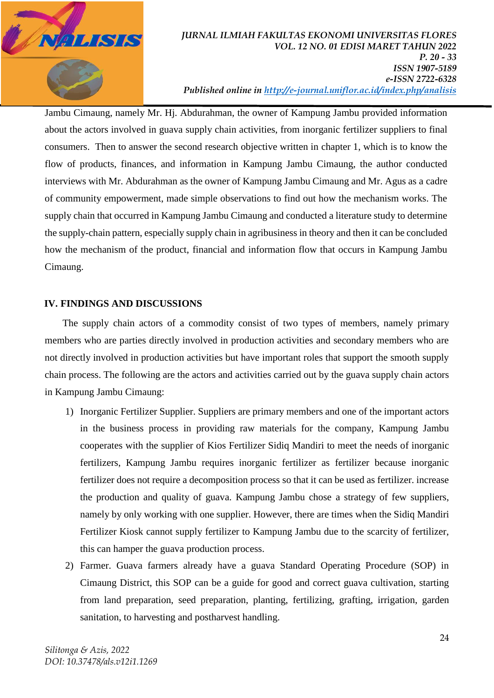

Jambu Cimaung, namely Mr. Hj. Abdurahman, the owner of Kampung Jambu provided information about the actors involved in guava supply chain activities, from inorganic fertilizer suppliers to final consumers. Then to answer the second research objective written in chapter 1, which is to know the flow of products, finances, and information in Kampung Jambu Cimaung, the author conducted interviews with Mr. Abdurahman as the owner of Kampung Jambu Cimaung and Mr. Agus as a cadre of community empowerment, made simple observations to find out how the mechanism works. The supply chain that occurred in Kampung Jambu Cimaung and conducted a literature study to determine the supply-chain pattern, especially supply chain in agribusiness in theory and then it can be concluded how the mechanism of the product, financial and information flow that occurs in Kampung Jambu Cimaung.

## **IV. FINDINGS AND DISCUSSIONS**

The supply chain actors of a commodity consist of two types of members, namely primary members who are parties directly involved in production activities and secondary members who are not directly involved in production activities but have important roles that support the smooth supply chain process. The following are the actors and activities carried out by the guava supply chain actors in Kampung Jambu Cimaung:

- 1) Inorganic Fertilizer Supplier. Suppliers are primary members and one of the important actors in the business process in providing raw materials for the company, Kampung Jambu cooperates with the supplier of Kios Fertilizer Sidiq Mandiri to meet the needs of inorganic fertilizers, Kampung Jambu requires inorganic fertilizer as fertilizer because inorganic fertilizer does not require a decomposition process so that it can be used as fertilizer. increase the production and quality of guava. Kampung Jambu chose a strategy of few suppliers, namely by only working with one supplier. However, there are times when the Sidiq Mandiri Fertilizer Kiosk cannot supply fertilizer to Kampung Jambu due to the scarcity of fertilizer, this can hamper the guava production process.
- 2) Farmer. Guava farmers already have a guava Standard Operating Procedure (SOP) in Cimaung District, this SOP can be a guide for good and correct guava cultivation, starting from land preparation, seed preparation, planting, fertilizing, grafting, irrigation, garden sanitation, to harvesting and postharvest handling.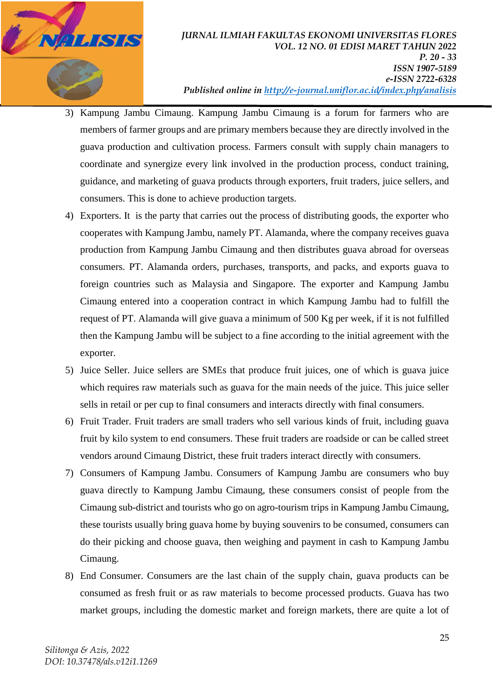

- 3) Kampung Jambu Cimaung. Kampung Jambu Cimaung is a forum for farmers who are members of farmer groups and are primary members because they are directly involved in the guava production and cultivation process. Farmers consult with supply chain managers to coordinate and synergize every link involved in the production process, conduct training, guidance, and marketing of guava products through exporters, fruit traders, juice sellers, and consumers. This is done to achieve production targets.
- 4) Exporters. It is the party that carries out the process of distributing goods, the exporter who cooperates with Kampung Jambu, namely PT. Alamanda, where the company receives guava production from Kampung Jambu Cimaung and then distributes guava abroad for overseas consumers. PT. Alamanda orders, purchases, transports, and packs, and exports guava to foreign countries such as Malaysia and Singapore. The exporter and Kampung Jambu Cimaung entered into a cooperation contract in which Kampung Jambu had to fulfill the request of PT. Alamanda will give guava a minimum of 500 Kg per week, if it is not fulfilled then the Kampung Jambu will be subject to a fine according to the initial agreement with the exporter.
- 5) Juice Seller. Juice sellers are SMEs that produce fruit juices, one of which is guava juice which requires raw materials such as guava for the main needs of the juice. This juice seller sells in retail or per cup to final consumers and interacts directly with final consumers.
- 6) Fruit Trader. Fruit traders are small traders who sell various kinds of fruit, including guava fruit by kilo system to end consumers. These fruit traders are roadside or can be called street vendors around Cimaung District, these fruit traders interact directly with consumers.
- 7) Consumers of Kampung Jambu. Consumers of Kampung Jambu are consumers who buy guava directly to Kampung Jambu Cimaung, these consumers consist of people from the Cimaung sub-district and tourists who go on agro-tourism trips in Kampung Jambu Cimaung, these tourists usually bring guava home by buying souvenirs to be consumed, consumers can do their picking and choose guava, then weighing and payment in cash to Kampung Jambu Cimaung.
- 8) End Consumer. Consumers are the last chain of the supply chain, guava products can be consumed as fresh fruit or as raw materials to become processed products. Guava has two market groups, including the domestic market and foreign markets, there are quite a lot of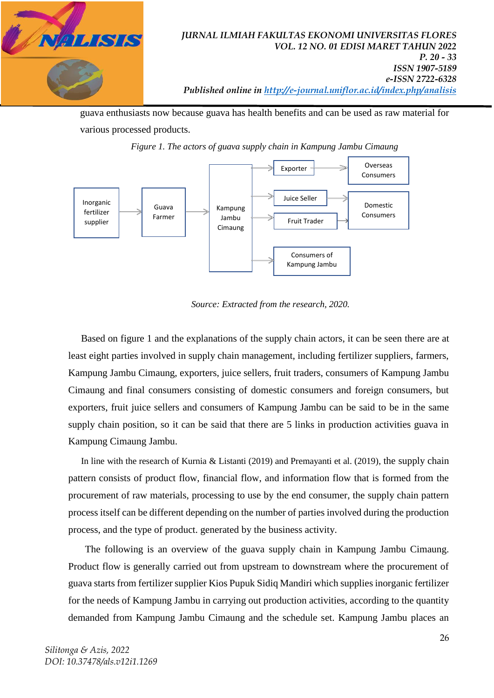

guava enthusiasts now because guava has health benefits and can be used as raw material for various processed products.



*Figure 1. The actors of guava supply chain in Kampung Jambu Cimaung*

*Source: Extracted from the research, 2020.*

Based on figure 1 and the explanations of the supply chain actors, it can be seen there are at least eight parties involved in supply chain management, including fertilizer suppliers, farmers, Kampung Jambu Cimaung, exporters, juice sellers, fruit traders, consumers of Kampung Jambu Cimaung and final consumers consisting of domestic consumers and foreign consumers, but exporters, fruit juice sellers and consumers of Kampung Jambu can be said to be in the same supply chain position, so it can be said that there are 5 links in production activities guava in Kampung Cimaung Jambu.

In line with the research of Kurnia & Listanti (2019) and Premayanti et al. (2019), the supply chain pattern consists of product flow, financial flow, and information flow that is formed from the procurement of raw materials, processing to use by the end consumer, the supply chain pattern process itself can be different depending on the number of parties involved during the production process, and the type of product. generated by the business activity.

The following is an overview of the guava supply chain in Kampung Jambu Cimaung. Product flow is generally carried out from upstream to downstream where the procurement of guava starts from fertilizer supplier Kios Pupuk Sidiq Mandiri which supplies inorganic fertilizer for the needs of Kampung Jambu in carrying out production activities, according to the quantity demanded from Kampung Jambu Cimaung and the schedule set. Kampung Jambu places an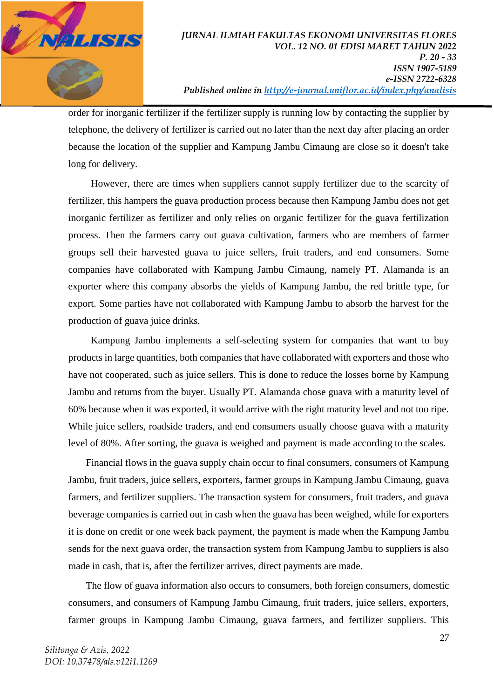

order for inorganic fertilizer if the fertilizer supply is running low by contacting the supplier by telephone, the delivery of fertilizer is carried out no later than the next day after placing an order because the location of the supplier and Kampung Jambu Cimaung are close so it doesn't take long for delivery.

However, there are times when suppliers cannot supply fertilizer due to the scarcity of fertilizer, this hampers the guava production process because then Kampung Jambu does not get inorganic fertilizer as fertilizer and only relies on organic fertilizer for the guava fertilization process. Then the farmers carry out guava cultivation, farmers who are members of farmer groups sell their harvested guava to juice sellers, fruit traders, and end consumers. Some companies have collaborated with Kampung Jambu Cimaung, namely PT. Alamanda is an exporter where this company absorbs the yields of Kampung Jambu, the red brittle type, for export. Some parties have not collaborated with Kampung Jambu to absorb the harvest for the production of guava juice drinks.

Kampung Jambu implements a self-selecting system for companies that want to buy products in large quantities, both companies that have collaborated with exporters and those who have not cooperated, such as juice sellers. This is done to reduce the losses borne by Kampung Jambu and returns from the buyer. Usually PT. Alamanda chose guava with a maturity level of 60% because when it was exported, it would arrive with the right maturity level and not too ripe. While juice sellers, roadside traders, and end consumers usually choose guava with a maturity level of 80%. After sorting, the guava is weighed and payment is made according to the scales.

Financial flows in the guava supply chain occur to final consumers, consumers of Kampung Jambu, fruit traders, juice sellers, exporters, farmer groups in Kampung Jambu Cimaung, guava farmers, and fertilizer suppliers. The transaction system for consumers, fruit traders, and guava beverage companies is carried out in cash when the guava has been weighed, while for exporters it is done on credit or one week back payment, the payment is made when the Kampung Jambu sends for the next guava order, the transaction system from Kampung Jambu to suppliers is also made in cash, that is, after the fertilizer arrives, direct payments are made.

The flow of guava information also occurs to consumers, both foreign consumers, domestic consumers, and consumers of Kampung Jambu Cimaung, fruit traders, juice sellers, exporters, farmer groups in Kampung Jambu Cimaung, guava farmers, and fertilizer suppliers. This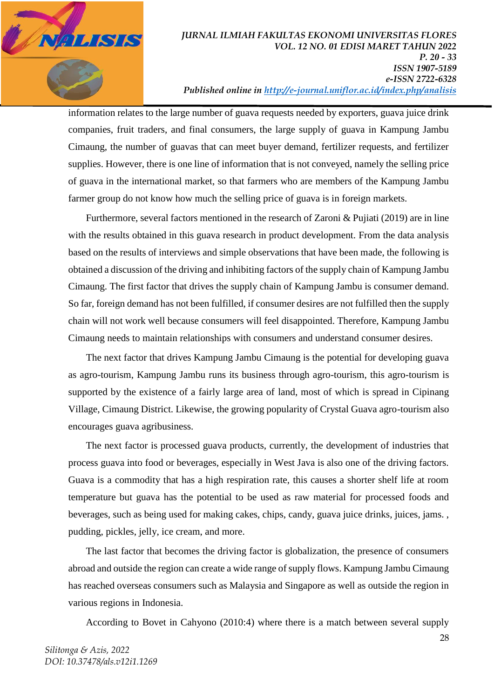

#### *JURNAL ILMIAH FAKULTAS EKONOMI UNIVERSITAS FLORES VOL. 12 NO. 01 EDISI MARET TAHUN 2022 P. 20 - 33 ISSN 1907-5189 e-ISSN 2722-6328 Published online in<http://e-journal.uniflor.ac.id/index.php/analisis>*

information relates to the large number of guava requests needed by exporters, guava juice drink companies, fruit traders, and final consumers, the large supply of guava in Kampung Jambu Cimaung, the number of guavas that can meet buyer demand, fertilizer requests, and fertilizer supplies. However, there is one line of information that is not conveyed, namely the selling price of guava in the international market, so that farmers who are members of the Kampung Jambu farmer group do not know how much the selling price of guava is in foreign markets.

Furthermore, several factors mentioned in the research of Zaroni & Pujiati (2019) are in line with the results obtained in this guava research in product development. From the data analysis based on the results of interviews and simple observations that have been made, the following is obtained a discussion of the driving and inhibiting factors of the supply chain of Kampung Jambu Cimaung. The first factor that drives the supply chain of Kampung Jambu is consumer demand. So far, foreign demand has not been fulfilled, if consumer desires are not fulfilled then the supply chain will not work well because consumers will feel disappointed. Therefore, Kampung Jambu Cimaung needs to maintain relationships with consumers and understand consumer desires.

The next factor that drives Kampung Jambu Cimaung is the potential for developing guava as agro-tourism, Kampung Jambu runs its business through agro-tourism, this agro-tourism is supported by the existence of a fairly large area of land, most of which is spread in Cipinang Village, Cimaung District. Likewise, the growing popularity of Crystal Guava agro-tourism also encourages guava agribusiness.

The next factor is processed guava products, currently, the development of industries that process guava into food or beverages, especially in West Java is also one of the driving factors. Guava is a commodity that has a high respiration rate, this causes a shorter shelf life at room temperature but guava has the potential to be used as raw material for processed foods and beverages, such as being used for making cakes, chips, candy, guava juice drinks, juices, jams. , pudding, pickles, jelly, ice cream, and more.

The last factor that becomes the driving factor is globalization, the presence of consumers abroad and outside the region can create a wide range of supply flows. Kampung Jambu Cimaung has reached overseas consumers such as Malaysia and Singapore as well as outside the region in various regions in Indonesia.

According to Bovet in Cahyono (2010:4) where there is a match between several supply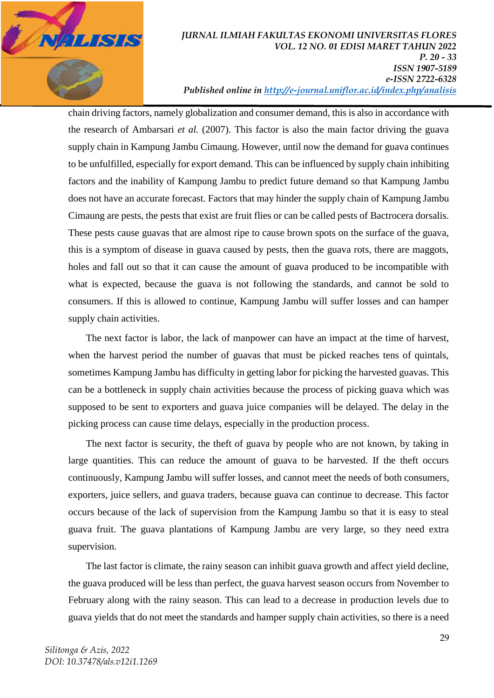

#### *JURNAL ILMIAH FAKULTAS EKONOMI UNIVERSITAS FLORES VOL. 12 NO. 01 EDISI MARET TAHUN 2022 P. 20 - 33 ISSN 1907-5189 e-ISSN 2722-6328 Published online in<http://e-journal.uniflor.ac.id/index.php/analisis>*

chain driving factors, namely globalization and consumer demand, this is also in accordance with the research of Ambarsari *et al.* (2007). This factor is also the main factor driving the guava supply chain in Kampung Jambu Cimaung. However, until now the demand for guava continues to be unfulfilled, especially for export demand. This can be influenced by supply chain inhibiting factors and the inability of Kampung Jambu to predict future demand so that Kampung Jambu does not have an accurate forecast. Factors that may hinder the supply chain of Kampung Jambu Cimaung are pests, the pests that exist are fruit flies or can be called pests of Bactrocera dorsalis. These pests cause guavas that are almost ripe to cause brown spots on the surface of the guava, this is a symptom of disease in guava caused by pests, then the guava rots, there are maggots, holes and fall out so that it can cause the amount of guava produced to be incompatible with what is expected, because the guava is not following the standards, and cannot be sold to consumers. If this is allowed to continue, Kampung Jambu will suffer losses and can hamper supply chain activities.

The next factor is labor, the lack of manpower can have an impact at the time of harvest, when the harvest period the number of guavas that must be picked reaches tens of quintals, sometimes Kampung Jambu has difficulty in getting labor for picking the harvested guavas. This can be a bottleneck in supply chain activities because the process of picking guava which was supposed to be sent to exporters and guava juice companies will be delayed. The delay in the picking process can cause time delays, especially in the production process.

The next factor is security, the theft of guava by people who are not known, by taking in large quantities. This can reduce the amount of guava to be harvested. If the theft occurs continuously, Kampung Jambu will suffer losses, and cannot meet the needs of both consumers, exporters, juice sellers, and guava traders, because guava can continue to decrease. This factor occurs because of the lack of supervision from the Kampung Jambu so that it is easy to steal guava fruit. The guava plantations of Kampung Jambu are very large, so they need extra supervision.

The last factor is climate, the rainy season can inhibit guava growth and affect yield decline, the guava produced will be less than perfect, the guava harvest season occurs from November to February along with the rainy season. This can lead to a decrease in production levels due to guava yields that do not meet the standards and hamper supply chain activities, so there is a need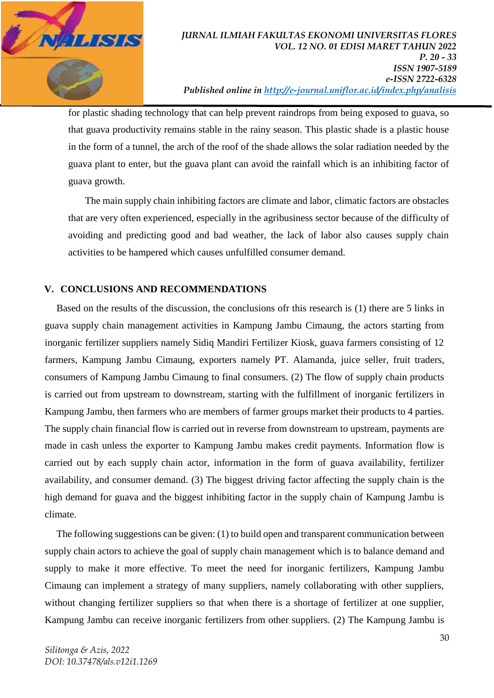

for plastic shading technology that can help prevent raindrops from being exposed to guava, so that guava productivity remains stable in the rainy season. This plastic shade is a plastic house in the form of a tunnel, the arch of the roof of the shade allows the solar radiation needed by the guava plant to enter, but the guava plant can avoid the rainfall which is an inhibiting factor of guava growth.

The main supply chain inhibiting factors are climate and labor, climatic factors are obstacles that are very often experienced, especially in the agribusiness sector because of the difficulty of avoiding and predicting good and bad weather, the lack of labor also causes supply chain activities to be hampered which causes unfulfilled consumer demand.

### **V. CONCLUSIONS AND RECOMMENDATIONS**

Based on the results of the discussion, the conclusions ofr this research is (1) there are 5 links in guava supply chain management activities in Kampung Jambu Cimaung, the actors starting from inorganic fertilizer suppliers namely Sidiq Mandiri Fertilizer Kiosk, guava farmers consisting of 12 farmers, Kampung Jambu Cimaung, exporters namely PT. Alamanda, juice seller, fruit traders, consumers of Kampung Jambu Cimaung to final consumers. (2) The flow of supply chain products is carried out from upstream to downstream, starting with the fulfillment of inorganic fertilizers in Kampung Jambu, then farmers who are members of farmer groups market their products to 4 parties. The supply chain financial flow is carried out in reverse from downstream to upstream, payments are made in cash unless the exporter to Kampung Jambu makes credit payments. Information flow is carried out by each supply chain actor, information in the form of guava availability, fertilizer availability, and consumer demand. (3) The biggest driving factor affecting the supply chain is the high demand for guava and the biggest inhibiting factor in the supply chain of Kampung Jambu is climate.

The following suggestions can be given: (1) to build open and transparent communication between supply chain actors to achieve the goal of supply chain management which is to balance demand and supply to make it more effective. To meet the need for inorganic fertilizers, Kampung Jambu Cimaung can implement a strategy of many suppliers, namely collaborating with other suppliers, without changing fertilizer suppliers so that when there is a shortage of fertilizer at one supplier, Kampung Jambu can receive inorganic fertilizers from other suppliers. (2) The Kampung Jambu is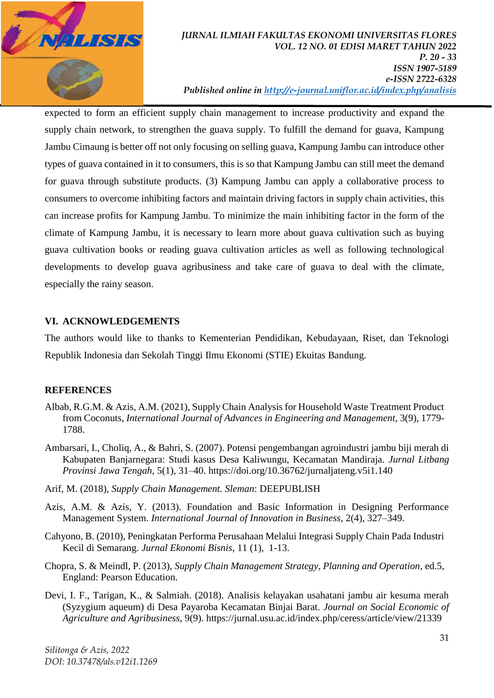

#### *JURNAL ILMIAH FAKULTAS EKONOMI UNIVERSITAS FLORES VOL. 12 NO. 01 EDISI MARET TAHUN 2022 P. 20 - 33 ISSN 1907-5189 e-ISSN 2722-6328 Published online in<http://e-journal.uniflor.ac.id/index.php/analisis>*

expected to form an efficient supply chain management to increase productivity and expand the supply chain network, to strengthen the guava supply. To fulfill the demand for guava, Kampung Jambu Cimaung is better off not only focusing on selling guava, Kampung Jambu can introduce other types of guava contained in it to consumers, this is so that Kampung Jambu can still meet the demand for guava through substitute products. (3) Kampung Jambu can apply a collaborative process to consumers to overcome inhibiting factors and maintain driving factors in supply chain activities, this can increase profits for Kampung Jambu. To minimize the main inhibiting factor in the form of the climate of Kampung Jambu, it is necessary to learn more about guava cultivation such as buying guava cultivation books or reading guava cultivation articles as well as following technological developments to develop guava agribusiness and take care of guava to deal with the climate, especially the rainy season.

## **VI. ACKNOWLEDGEMENTS**

The authors would like to thanks to Kementerian Pendidikan, Kebudayaan, Riset, dan Teknologi Republik Indonesia dan Sekolah Tinggi Ilmu Ekonomi (STIE) Ekuitas Bandung.

### **REFERENCES**

- Albab, R.G.M. & Azis, A.M. (2021)[, Supply Chain Analysis for Household Waste Treatment Product](https://scholar.google.com/citations?view_op=view_citation&hl=en&user=CZNdd7UAAAAJ&cstart=20&pagesize=80&citation_for_view=CZNdd7UAAAAJ:GnPB-g6toBAC)  [from Coconuts,](https://scholar.google.com/citations?view_op=view_citation&hl=en&user=CZNdd7UAAAAJ&cstart=20&pagesize=80&citation_for_view=CZNdd7UAAAAJ:GnPB-g6toBAC) *International Journal of Advances in Engineering and Management*, 3(9), 1779- 1788.
- Ambarsari, I., Choliq, A., & Bahri, S. (2007). Potensi pengembangan agroindustri jambu biji merah di Kabupaten Banjarnegara: Studi kasus Desa Kaliwungu, Kecamatan Mandiraja. *Jurnal Litbang Provinsi Jawa Tengah*, 5(1), 31–40. https://doi.org/10.36762/jurnaljateng.v5i1.140
- Arif, M. (2018), *Supply Chain Management. Sleman*: DEEPUBLISH
- Azis, A.M. & Azis, Y. (2013). Foundation and Basic Information in Designing Performance Management System. *International Journal of Innovation in Business*, 2(4), 327–349.
- Cahyono, B. (2010), Peningkatan Performa Perusahaan Melalui Integrasi Supply Chain Pada Industri Kecil di Semarang. *Jurnal Ekonomi Bisnis*, 11 (1), 1-13.
- Chopra, S. & Meindl, P. (2013), *Supply Chain Management Strategy, Planning and Operation*, ed.5, England: Pearson Education.
- Devi, I. F., Tarigan, K., & Salmiah. (2018). Analisis kelayakan usahatani jambu air kesuma merah (Syzygium aqueum) di Desa Payaroba Kecamatan Binjai Barat. *Journal on Social Economic of Agriculture and Agribusiness*, 9(9). https://jurnal.usu.ac.id/index.php/ceress/article/view/21339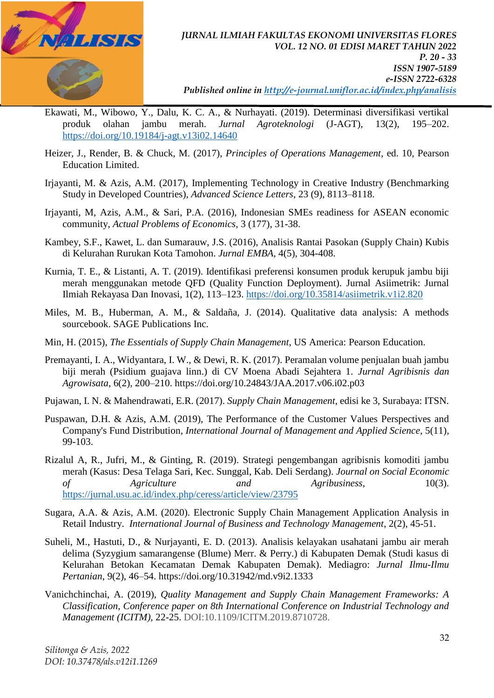

- Ekawati, M., Wibowo, Y., Dalu, K. C. A., & Nurhayati. (2019). Determinasi diversifikasi vertikal produk olahan jambu merah. *Jurnal Agroteknologi* (J-AGT), 13(2), 195–202. <https://doi.org/10.19184/j-agt.v13i02.14640>
- Heizer, J., Render, B. & Chuck, M. (2017), *Principles of Operations Management*, ed. 10, Pearson Education Limited.
- Irjayanti, M. & Azis, A.M. (2017), [Implementing Technology in Creative Industry \(Benchmarking](https://scholar.google.com/citations?view_op=view_citation&hl=en&user=CZNdd7UAAAAJ&citation_for_view=CZNdd7UAAAAJ:4JMBOYKVnBMC)  [Study in Developed Countries\),](https://scholar.google.com/citations?view_op=view_citation&hl=en&user=CZNdd7UAAAAJ&citation_for_view=CZNdd7UAAAAJ:4JMBOYKVnBMC) *Advanced Science Letters*, 23 (9), 8113–8118.
- Irjayanti, M, Azis, A.M., & Sari, P.A. (2016), [Indonesian SMEs readiness for ASEAN economic](https://scholar.google.com/citations?view_op=view_citation&hl=en&user=CZNdd7UAAAAJ&citation_for_view=CZNdd7UAAAAJ:W7OEmFMy1HYC)  [community,](https://scholar.google.com/citations?view_op=view_citation&hl=en&user=CZNdd7UAAAAJ&citation_for_view=CZNdd7UAAAAJ:W7OEmFMy1HYC) *Actual Problems of Economics*, 3 (177), 31-38.
- Kambey, S.F., Kawet, L. dan Sumarauw, J.S. (2016), Analisis Rantai Pasokan (Supply Chain) Kubis di Kelurahan Rurukan Kota Tamohon. *Jurnal EMBA*, 4(5), 304-408.
- Kurnia, T. E., & Listanti, A. T. (2019). Identifikasi preferensi konsumen produk kerupuk jambu biji merah menggunakan metode QFD (Quality Function Deployment). Jurnal Asiimetrik: Jurnal Ilmiah Rekayasa Dan Inovasi, 1(2), 113–123.<https://doi.org/10.35814/asiimetrik.v1i2.820>
- Miles, M. B., Huberman, A. M., & Saldaña, J. (2014). Qualitative data analysis: A methods sourcebook. SAGE Publications Inc.
- Min, H. (2015), *The Essentials of Supply Chain Management*, US America: Pearson Education.
- Premayanti, I. A., Widyantara, I. W., & Dewi, R. K. (2017). Peramalan volume penjualan buah jambu biji merah (Psidium guajava linn.) di CV Moena Abadi Sejahtera 1. *Jurnal Agribisnis dan Agrowisata*, 6(2), 200–210. https://doi.org/10.24843/JAA.2017.v06.i02.p03
- Pujawan, I. N. & Mahendrawati, E.R. (2017). *Supply Chain Management*, edisi ke 3, Surabaya: ITSN.
- Puspawan, D.H. & Azis, A.M. (2019), [The Performance of the Customer Values Perspectives and](https://scholar.google.com/citations?view_op=view_citation&hl=en&user=CZNdd7UAAAAJ&cstart=20&pagesize=80&citation_for_view=CZNdd7UAAAAJ:NMxIlDl6LWMC)  [Company's Fund Distribution,](https://scholar.google.com/citations?view_op=view_citation&hl=en&user=CZNdd7UAAAAJ&cstart=20&pagesize=80&citation_for_view=CZNdd7UAAAAJ:NMxIlDl6LWMC) *International Journal of Management and Applied Science*, 5(11), 99-103.
- Rizalul A, R., Jufri, M., & Ginting, R. (2019). Strategi pengembangan agribisnis komoditi jambu merah (Kasus: Desa Telaga Sari, Kec. Sunggal, Kab. Deli Serdang). *Journal on Social Economic of Agriculture and Agribusiness*, 10(3). <https://jurnal.usu.ac.id/index.php/ceress/article/view/23795>
- Sugara, A.A. & Azis, A.M. (2020). [Electronic Supply Chain Management Application Analysis in](http://myjms.mohe.gov.my/index.php/ijbtm/article/view/10168)  [Retail Industry.](http://myjms.mohe.gov.my/index.php/ijbtm/article/view/10168) *International Journal of Business and Technology Management*, 2(2), 45-51.
- Suheli, M., Hastuti, D., & Nurjayanti, E. D. (2013). Analisis kelayakan usahatani jambu air merah delima (Syzygium samarangense (Blume) Merr. & Perry.) di Kabupaten Demak (Studi kasus di Kelurahan Betokan Kecamatan Demak Kabupaten Demak). Mediagro: *Jurnal Ilmu-Ilmu Pertanian*, 9(2), 46–54. https://doi.org/10.31942/md.v9i2.1333
- Vanichchinchai, A. (2019), *Quality Management and Supply Chain Management Frameworks: A Classification*, *Conference paper on 8th International Conference on Industrial Technology and Management (ICITM),* 22-25. DOI:10.1109/ICITM.2019.8710728.